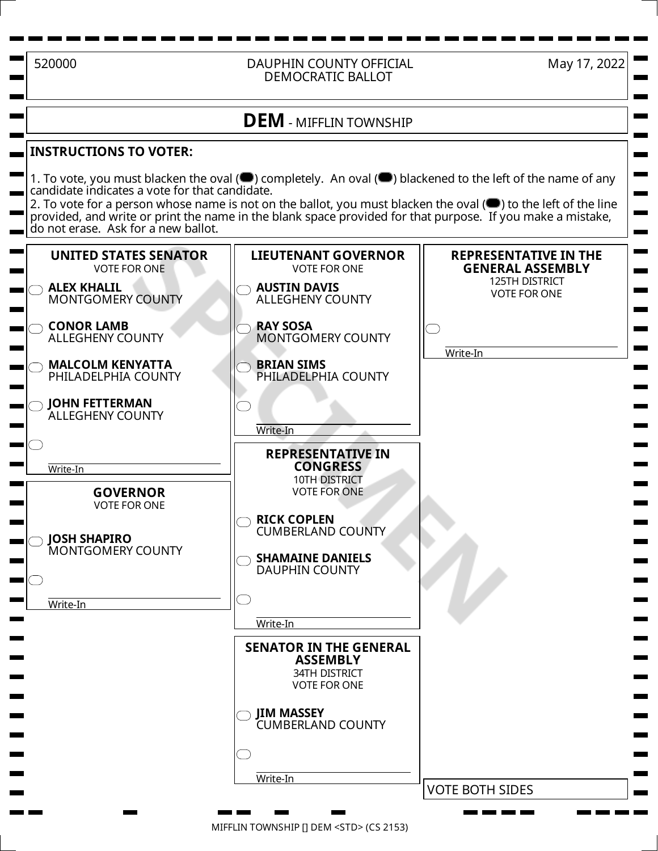## 520000 DAUPHIN COUNTY OFFICIAL DEMOCRATIC BALLOT

May 17, 2022

## **DEM** - MIFFLIN TOWNSHIP

## **INSTRUCTIONS TO VOTER:**

1. To vote, you must blacken the oval (O) completely. An oval (O) blackened to the left of the name of any candidate indicates a vote for that candidate.

2. To vote for a person whose name is not on the ballot, you must blacken the oval  $(\bullet)$  to the left of the line provided, and write or print the name in the blank space provided for that purpose. If you make a mistake, do not erase. Ask for a new ballot.